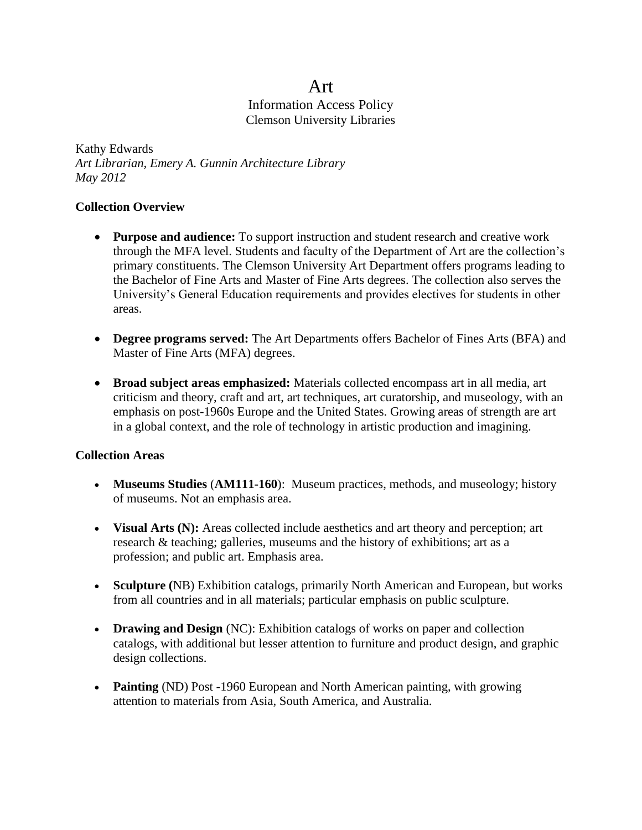## Art Information Access Policy Clemson University Libraries

Kathy Edwards *Art Librarian, Emery A. Gunnin Architecture Library May 2012*

#### **Collection Overview**

- **Purpose and audience:** To support instruction and student research and creative work through the MFA level. Students and faculty of the Department of Art are the collection's primary constituents. The Clemson University Art Department offers programs leading to the Bachelor of Fine Arts and Master of Fine Arts degrees. The collection also serves the University's General Education requirements and provides electives for students in other areas.
- **Degree programs served:** The Art Departments offers Bachelor of Fines Arts (BFA) and Master of Fine Arts (MFA) degrees.
- **Broad subject areas emphasized:** Materials collected encompass art in all media, art criticism and theory, craft and art, art techniques, art curatorship, and museology, with an emphasis on post-1960s Europe and the United States. Growing areas of strength are art in a global context, and the role of technology in artistic production and imagining.

#### **Collection Areas**

- **Museums Studies** (**AM111-160**): Museum practices, methods, and museology; history of museums. Not an emphasis area.
- **Visual Arts (N):** Areas collected include aesthetics and art theory and perception; art research & teaching; galleries, museums and the history of exhibitions; art as a profession; and public art. Emphasis area.
- **Sculpture (**NB) Exhibition catalogs, primarily North American and European, but works from all countries and in all materials; particular emphasis on public sculpture.
- **Drawing and Design** (NC): Exhibition catalogs of works on paper and collection catalogs, with additional but lesser attention to furniture and product design, and graphic design collections.
- **Painting** (ND) Post -1960 European and North American painting, with growing attention to materials from Asia, South America, and Australia.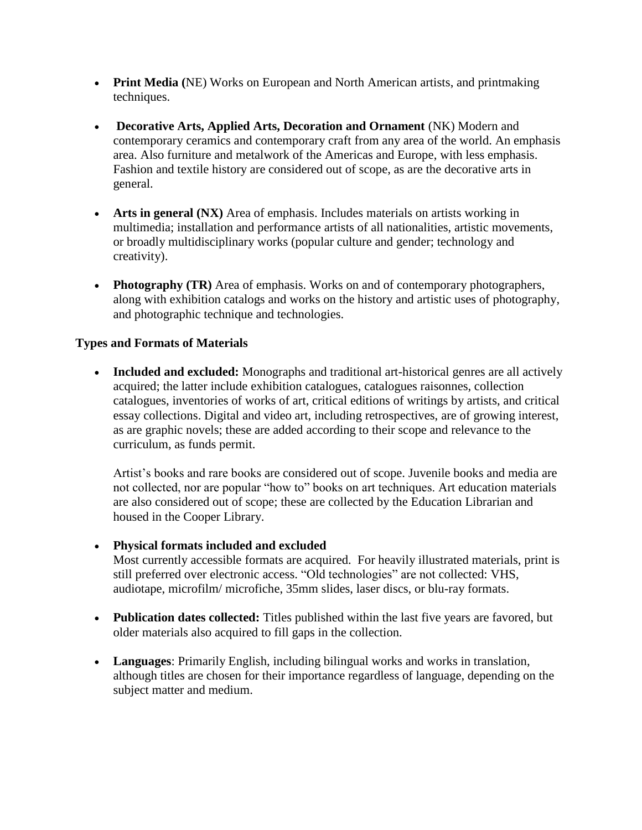- **Print Media (**NE) Works on European and North American artists, and printmaking techniques.
- **Decorative Arts, Applied Arts, Decoration and Ornament** (NK) Modern and contemporary ceramics and contemporary craft from any area of the world. An emphasis area. Also furniture and metalwork of the Americas and Europe, with less emphasis. Fashion and textile history are considered out of scope, as are the decorative arts in general.
- **Arts in general (NX)** Area of emphasis. Includes materials on artists working in multimedia; installation and performance artists of all nationalities, artistic movements, or broadly multidisciplinary works (popular culture and gender; technology and creativity).
- **Photography (TR)** Area of emphasis. Works on and of contemporary photographers, along with exhibition catalogs and works on the history and artistic uses of photography, and photographic technique and technologies.

#### **Types and Formats of Materials**

 **Included and excluded:** Monographs and traditional art-historical genres are all actively acquired; the latter include exhibition catalogues, catalogues raisonnes, collection catalogues, inventories of works of art, critical editions of writings by artists, and critical essay collections. Digital and video art, including retrospectives, are of growing interest, as are graphic novels; these are added according to their scope and relevance to the curriculum, as funds permit.

Artist's books and rare books are considered out of scope. Juvenile books and media are not collected, nor are popular "how to" books on art techniques. Art education materials are also considered out of scope; these are collected by the Education Librarian and housed in the Cooper Library.

- **Physical formats included and excluded**
	- Most currently accessible formats are acquired. For heavily illustrated materials, print is still preferred over electronic access. "Old technologies" are not collected: VHS, audiotape, microfilm/ microfiche, 35mm slides, laser discs, or blu-ray formats.
- **Publication dates collected:** Titles published within the last five years are favored, but older materials also acquired to fill gaps in the collection.
- **Languages**: Primarily English, including bilingual works and works in translation, although titles are chosen for their importance regardless of language, depending on the subject matter and medium.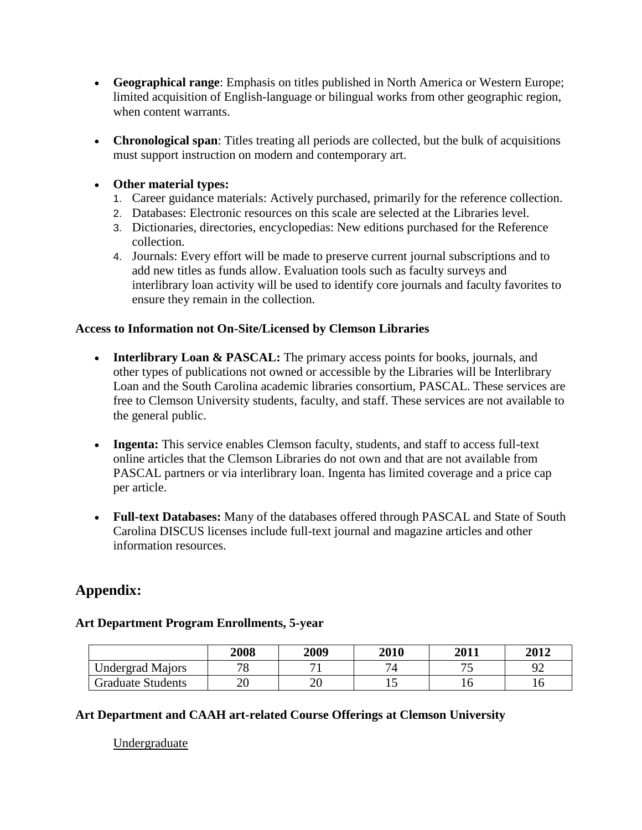- **Geographical range**: Emphasis on titles published in North America or Western Europe; limited acquisition of English-language or bilingual works from other geographic region, when content warrants.
- **Chronological span**: Titles treating all periods are collected, but the bulk of acquisitions must support instruction on modern and contemporary art.

#### **Other material types:**

- 1. Career guidance materials: Actively purchased, primarily for the reference collection.
- 2. Databases: Electronic resources on this scale are selected at the Libraries level.
- 3. Dictionaries, directories, encyclopedias: New editions purchased for the Reference collection.
- 4. Journals: Every effort will be made to preserve current journal subscriptions and to add new titles as funds allow. Evaluation tools such as faculty surveys and interlibrary loan activity will be used to identify core journals and faculty favorites to ensure they remain in the collection.

#### **Access to Information not On-Site/Licensed by Clemson Libraries**

- **Interlibrary Loan & PASCAL:** The primary access points for books, journals, and other types of publications not owned or accessible by the Libraries will be Interlibrary Loan and the South Carolina academic libraries consortium, PASCAL. These services are free to Clemson University students, faculty, and staff. These services are not available to the general public.
- Ingenta: This service enables Clemson faculty, students, and staff to access full-text online articles that the Clemson Libraries do not own and that are not available from PASCAL partners or via interlibrary loan. Ingenta has limited coverage and a price cap per article.
- **Full-text Databases:** Many of the databases offered through PASCAL and State of South Carolina DISCUS licenses include full-text journal and magazine articles and other information resources.

# **Appendix:**

### **Art Department Program Enrollments, 5-year**

|                          | 2008     | 2009     | 2010           | 2011                     | 2012 |
|--------------------------|----------|----------|----------------|--------------------------|------|
| <b>Undergrad Majors</b>  | 70<br>O  |          | $\overline{ }$ | $\overline{\phantom{a}}$ | ററ   |
| <b>Graduate Students</b> | ററ<br>∠∪ | ጎቦ<br>∠∪ |                |                          | ⊥∪   |

#### **Art Department and CAAH art-related Course Offerings at Clemson University**

Undergraduate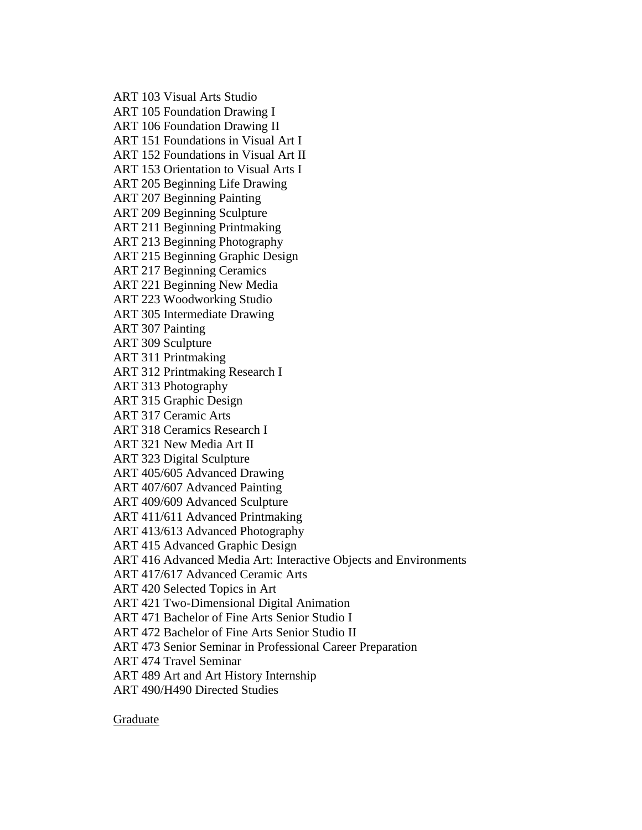ART 103 Visual Arts Studio ART 105 Foundation Drawing I ART 106 Foundation Drawing II ART 151 Foundations in Visual Art I ART 152 Foundations in Visual Art II ART 153 Orientation to Visual Arts I ART 205 Beginning Life Drawing ART 207 Beginning Painting ART 209 Beginning Sculpture ART 211 Beginning Printmaking ART 213 Beginning Photography ART 215 Beginning Graphic Design ART 217 Beginning Ceramics ART 221 Beginning New Media ART 223 Woodworking Studio ART 305 Intermediate Drawing ART 307 Painting ART 309 Sculpture ART 311 Printmaking ART 312 Printmaking Research I ART 313 Photography ART 315 Graphic Design ART 317 Ceramic Arts ART 318 Ceramics Research I ART 321 New Media Art II ART 323 Digital Sculpture ART 405/605 Advanced Drawing ART 407/607 Advanced Painting ART 409/609 Advanced Sculpture ART 411/611 Advanced Printmaking ART 413/613 Advanced Photography ART 415 Advanced Graphic Design ART 416 Advanced Media Art: Interactive Objects and Environments ART 417/617 Advanced Ceramic Arts ART 420 Selected Topics in Art ART 421 Two-Dimensional Digital Animation ART 471 Bachelor of Fine Arts Senior Studio I ART 472 Bachelor of Fine Arts Senior Studio II ART 473 Senior Seminar in Professional Career Preparation ART 474 Travel Seminar ART 489 Art and Art History Internship ART 490/H490 Directed Studies

Graduate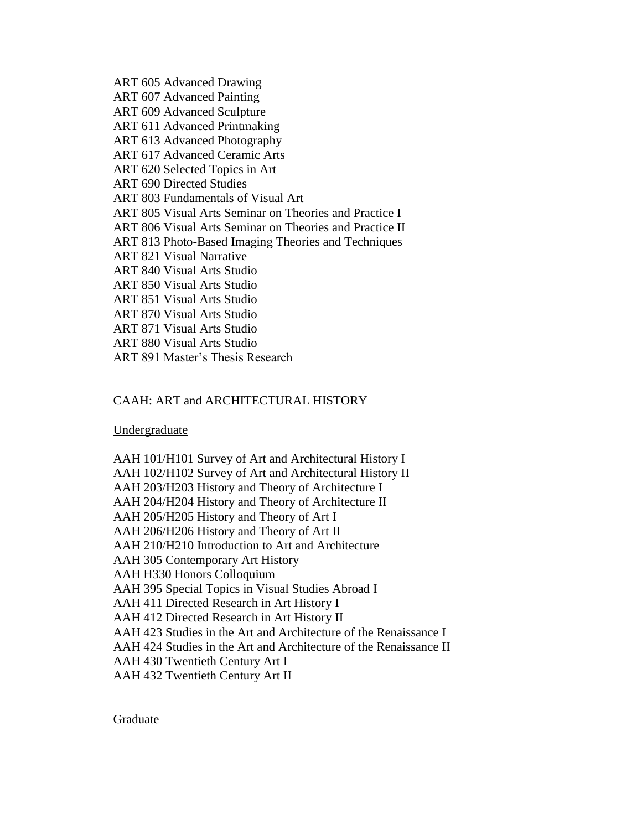ART 605 Advanced Drawing ART 607 Advanced Painting ART 609 Advanced Sculpture ART 611 Advanced Printmaking ART 613 Advanced Photography ART 617 Advanced Ceramic Arts ART 620 Selected Topics in Art ART 690 Directed Studies ART 803 Fundamentals of Visual Art ART 805 Visual Arts Seminar on Theories and Practice I ART 806 Visual Arts Seminar on Theories and Practice II ART 813 Photo-Based Imaging Theories and Techniques ART 821 Visual Narrative ART 840 Visual Arts Studio ART 850 Visual Arts Studio ART 851 Visual Arts Studio ART 870 Visual Arts Studio ART 871 Visual Arts Studio ART 880 Visual Arts Studio ART 891 Master's Thesis Research

#### CAAH: ART and ARCHITECTURAL HISTORY

Undergraduate

AAH 101/H101 Survey of Art and Architectural History I AAH 102/H102 Survey of Art and Architectural History II AAH 203/H203 History and Theory of Architecture I AAH 204/H204 History and Theory of Architecture II AAH 205/H205 History and Theory of Art I AAH 206/H206 History and Theory of Art II AAH 210/H210 Introduction to Art and Architecture AAH 305 Contemporary Art History AAH H330 Honors Colloquium AAH 395 Special Topics in Visual Studies Abroad I AAH 411 Directed Research in Art History I AAH 412 Directed Research in Art History II AAH 423 Studies in the Art and Architecture of the Renaissance I AAH 424 Studies in the Art and Architecture of the Renaissance II AAH 430 Twentieth Century Art I AAH 432 Twentieth Century Art II

Graduate